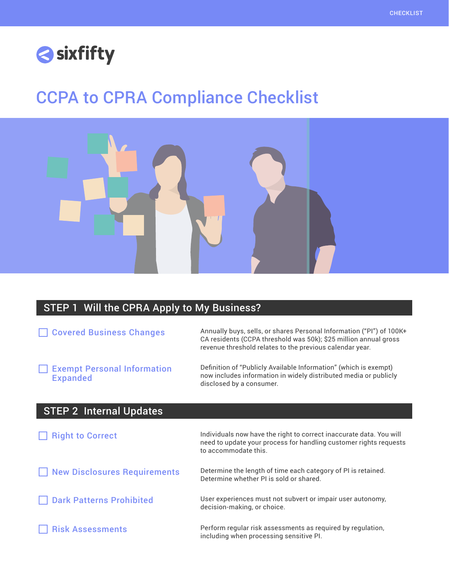

## CCPA to CPRA Compliance Checklist



## STEP 1 Will the CPRA Apply to My Business?

| Annually buys, sells, or shares Personal Information ("PI") of 100K+<br>CA residents (CCPA threshold was 50k); \$25 million annual gross<br>revenue threshold relates to the previous calendar year. |
|------------------------------------------------------------------------------------------------------------------------------------------------------------------------------------------------------|
| Definition of "Publicly Available Information" (which is exempt)<br>now includes information in widely distributed media or publicly<br>disclosed by a consumer.                                     |
|                                                                                                                                                                                                      |
| Individuals now have the right to correct inaccurate data. You will<br>need to update your process for handling customer rights requests<br>to accommodate this.                                     |
| Determine the length of time each category of PI is retained.<br>Determine whether PI is sold or shared.                                                                                             |
| User experiences must not subvert or impair user autonomy,<br>decision-making, or choice.                                                                                                            |
| Perform regular risk assessments as required by regulation,<br>including when processing sensitive PI.                                                                                               |
|                                                                                                                                                                                                      |